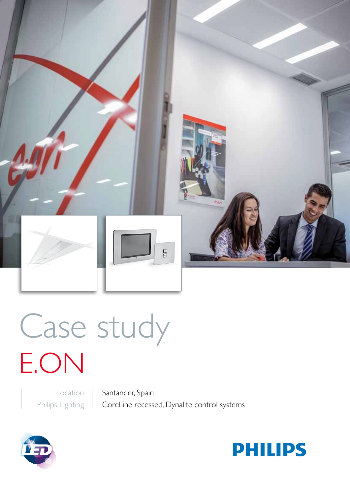

# Case study E.ON

Location Philips Lighting Santander, Spain CoreLine recessed, Dynalite control systems



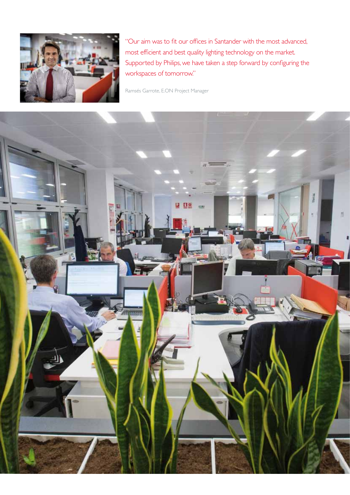

"Our aim was to fit our offices in Santander with the most advanced, most efficient and best quality lighting technology on the market. Supported by Philips, we have taken a step forward by configuring the workspaces of tomorrow."

Ramsés Garrote, E.ON Project Manager

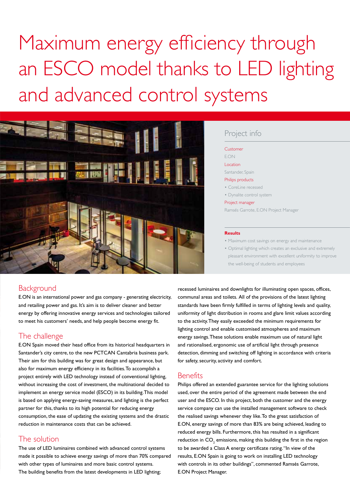Maximum energy efficiency through an ESCO model thanks to LED lighting and advanced control systems



# Project info

### Customer E.ON Location

Santander, Spain

Philips products

- CoreLine recessed
- Dynalite control system

#### Project manager

Ramsés Garrote, E.ON Project Manager

#### **Results**

• Maximum cost savings on energy and maintenance

• Optimal lighting which creates an exclusive and extremely pleasant environment with excellent uniformity to improve the well-being of students and employees

# **Background**

E.ON is an international power and gas company - generating electricity, and retailing power and gas. It's aim is to deliver cleaner and better energy by offering innovative energy services and technologies tailored to meet his customers' needs, and help people become energy fit.

# The challenge

E.ON Spain moved their head office from its historical headquarters in Santander's city centre, to the new PCTCAN Cantabria business park. Their aim for this building was for great design and appearance, but also for maximum energy efficiency in its facilities. To accomplish a project entirely with LED technology instead of conventional lighting, without increasing the cost of investment, the multinational decided to implement an energy service model (ESCO) in its building. This model is based on applying energy-saving measures, and lighting is the perfect partner for this, thanks to its high potential for reducing energy consumption, the ease of updating the existing systems and the drastic reduction in maintenance costs that can be achieved.

# The solution

The use of LED luminaires combined with advanced control systems made it possible to achieve energy savings of more than 70% compared with other types of luminaires and more basic control systems. The building benefits from the latest developments in LED lighting;

recessed luminaires and downlights for illuminating open spaces, offices, communal areas and toilets. All of the provisions of the latest lighting standards have been firmly fulfilled in terms of lighting levels and quality, uniformity of light distribution in rooms and glare limit values according to the activity. They easily exceeded the minimum requirements for lighting control and enable customised atmospheres and maximum energy savings. These solutions enable maximum use of natural light and rationalised, ergonomic use of artificial light through presence detection, dimming and switching off lighting in accordance with criteria for safety, security, activity and comfort.

## **Benefits**

Philips offered an extended guarantee service for the lighting solutions used, over the entire period of the agreement made between the end user and the ESCO. In this project, both the customer and the energy service company can use the installed management software to check the realised savings whenever they like. To the great satisfaction of E.ON, energy savings of more than 83% are being achieved, leading to reduced energy bills. Furthermore, this has resulted in a significant reduction in  $\mathsf{CO}_2$  emissions, making this building the first in the region to be awarded a Class A energy certificate rating. "In view of the results, E.ON Spain is going to work on installing LED technology with controls in its other buildings", commented Ramsés Garrote, E.ON Project Manager.